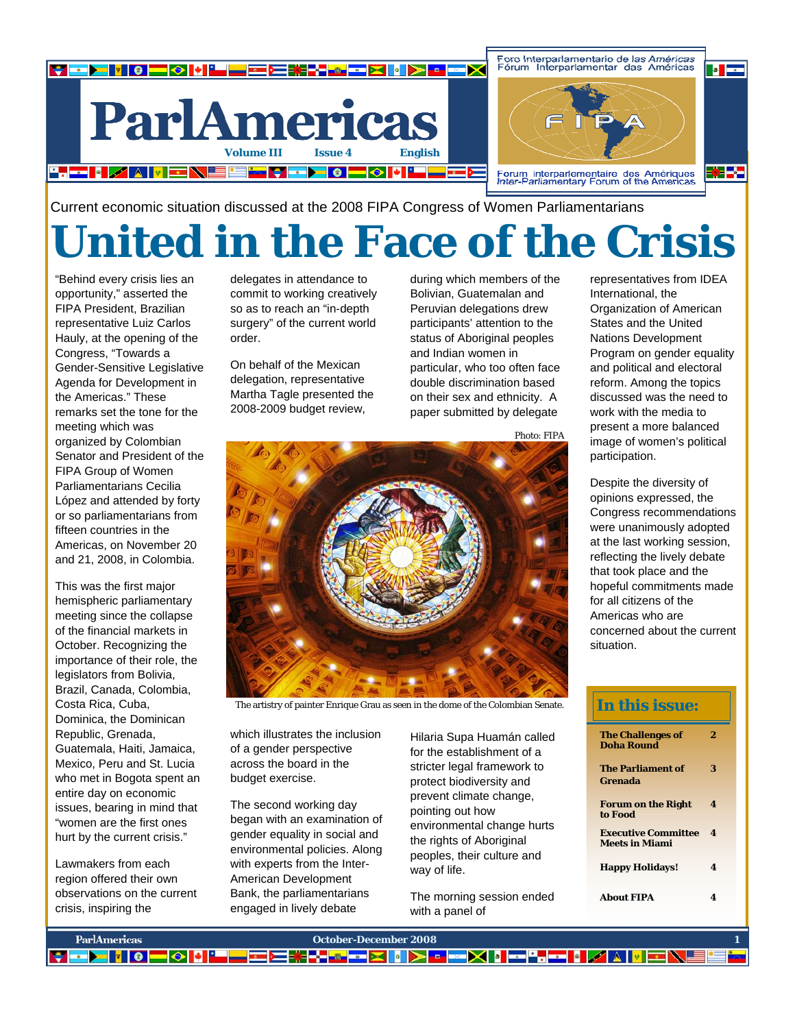

Current economic situation discussed at the 2008 FIPA Congress of Women Parliamentarians

## **United in the Face of the Crisis**

"Behind every crisis lies an opportunity," asserted the FIPA President, Brazilian representative Luiz Carlos Hauly, at the opening of the Congress, "Towards a Gender-Sensitive Legislative Agenda for Development in the Americas." These remarks set the tone for the meeting which was organized by Colombian Senator and President of the FIPA Group of Women Parliamentarians Cecilia López and attended by forty or so parliamentarians from fifteen countries in the Americas, on November 20 and 21, 2008, in Colombia.

This was the first major hemispheric parliamentary meeting since the collapse of the financial markets in October. Recognizing the importance of their role, the legislators from Bolivia, Brazil, Canada, Colombia, Costa Rica, Cuba, Dominica, the Dominican Republic, Grenada, Guatemala, Haiti, Jamaica, Mexico, Peru and St. Lucia who met in Bogota spent an entire day on economic issues, bearing in mind that "women are the first ones hurt by the current crisis."

Lawmakers from each region offered their own observations on the current crisis, inspiring the

delegates in attendance to commit to working creatively so as to reach an "in-depth surgery" of the current world order.

On behalf of the Mexican delegation, representative Martha Tagle presented the 2008-2009 budget review,

during which members of the Bolivian, Guatemalan and Peruvian delegations drew participants' attention to the status of Aboriginal peoples and Indian women in particular, who too often face double discrimination based on their sex and ethnicity. A paper submitted by delegate

Photo: FIPA



The artistry of painter Enrique Grau as seen in the dome of the Colombian Senate.

which illustrates the inclusion of a gender perspective across the board in the budget exercise.

The second working day began with an examination of gender equality in social and environmental policies. Along with experts from the Inter-American Development Bank, the parliamentarians engaged in lively debate

Hilaria Supa Huamán called for the establishment of a stricter legal framework to protect biodiversity and prevent climate change, pointing out how environmental change hurts the rights of Aboriginal peoples, their culture and way of life.

The morning session ended with a panel of

representatives from IDEA International, the Organization of American States and the United Nations Development Program on gender equality and political and electoral reform. Among the topics discussed was the need to work with the media to present a more balanced image of women's political participation.

Despite the diversity of opinions expressed, the Congress recommendations were unanimously adopted at the last working session, reflecting the lively debate that took place and the hopeful commitments made for all citizens of the Americas who are concerned about the current situation.

## **The Challenges of Doha Round 2 The Parliament of Grenada 3 Forum on the Right to Food 4 Executive Committee Meets in Miami 4 Happy Holidays! 4 About FIPA 4 In this issue:**

| <b>ParlAmericas</b> | October-December 2008                                                                   |  |
|---------------------|-----------------------------------------------------------------------------------------|--|
|                     | <mark>▌▖▅▗▕▏▏▏▎▄▏░▏▓▏▘▀▅▅▅▓▚▞▗▓▅▅▓▐▖▏░▏▖▗▅░▎▓▗▄▚▄▄▏▓</mark> ▗▎▓▏▏▓▏▆░▙▊█ <mark>▓</mark> |  |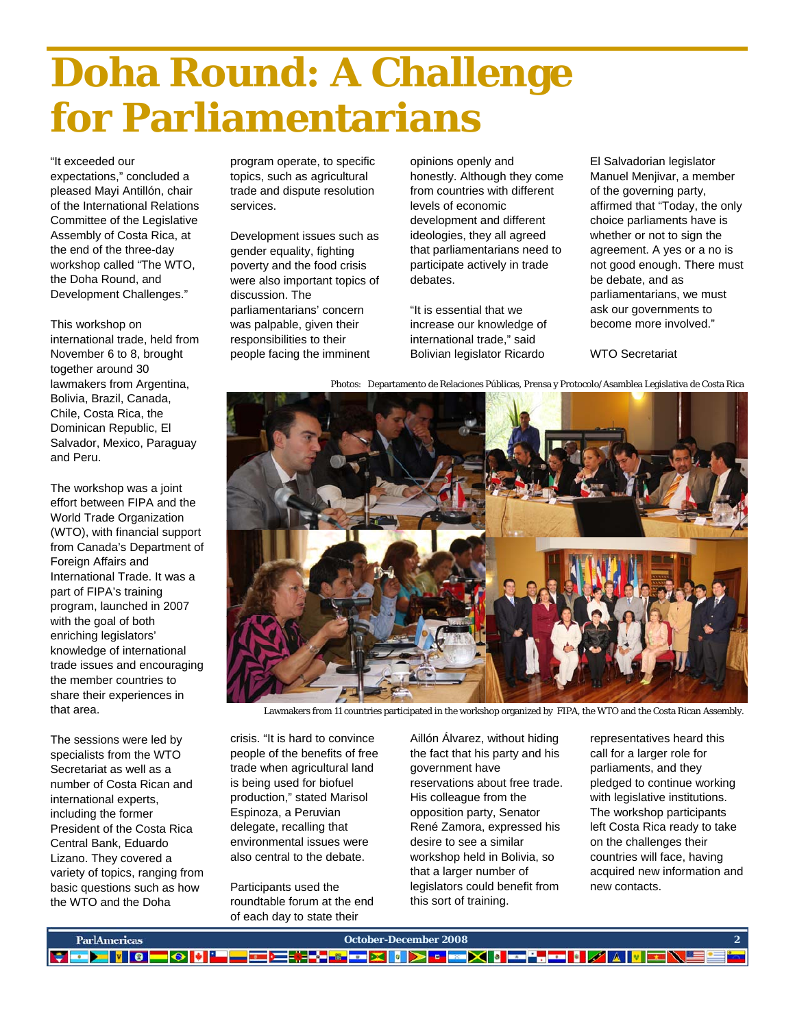## **Doha Round: A Challenge for Parliamentarians**

## "It exceeded our

expectations," concluded a pleased Mayi Antillón, chair of the International Relations Committee of the Legislative Assembly of Costa Rica, at the end of the three-day workshop called "The WTO, the Doha Round, and Development Challenges."

This workshop on international trade, held from November 6 to 8, brought together around 30 lawmakers from Argentina, Bolivia, Brazil, Canada, Chile, Costa Rica, the Dominican Republic, El Salvador, Mexico, Paraguay and Peru.

The workshop was a joint effort between FIPA and the World Trade Organization (WTO), with financial support from Canada's Department of Foreign Affairs and International Trade. It was a part of FIPA's training program, launched in 2007 with the goal of both enriching legislators' knowledge of international trade issues and encouraging the member countries to share their experiences in that area.

The sessions were led by specialists from the WTO Secretariat as well as a number of Costa Rican and international experts, including the former President of the Costa Rica Central Bank, Eduardo Lizano. They covered a variety of topics, ranging from basic questions such as how the WTO and the Doha

program operate, to specific topics, such as agricultural trade and dispute resolution services.

Development issues such as gender equality, fighting poverty and the food crisis were also important topics of discussion. The parliamentarians' concern was palpable, given their responsibilities to their people facing the imminent

opinions openly and honestly. Although they come from countries with different levels of economic development and different ideologies, they all agreed that parliamentarians need to participate actively in trade debates.

"It is essential that we increase our knowledge of international trade," said Bolivian legislator Ricardo

El Salvadorian legislator Manuel Menjivar, a member of the governing party, affirmed that "Today, the only choice parliaments have is whether or not to sign the agreement. A yes or a no is not good enough. There must be debate, and as parliamentarians, we must ask our governments to become more involved."

WTO Secretariat

Photos: Departamento de Relaciones Públicas, Prensa y Protocolo/Asamblea Legislativa de Costa Rica



Lawmakers from 11 countries participated in the workshop organized by FIPA, the WTO and the Costa Rican Assembly.

crisis. "It is hard to convince people of the benefits of free trade when agricultural land is being used for biofuel production," stated Marisol Espinoza, a Peruvian delegate, recalling that environmental issues were also central to the debate.

Participants used the roundtable forum at the end of each day to state their

Aillón Álvarez, without hiding the fact that his party and his government have reservations about free trade. His colleague from the opposition party, Senator René Zamora, expressed his desire to see a similar workshop held in Bolivia, so that a larger number of legislators could benefit from this sort of training.

representatives heard this call for a larger role for parliaments, and they pledged to continue working with legislative institutions. The workshop participants left Costa Rica ready to take on the challenges their countries will face, having acquired new information and new contacts.

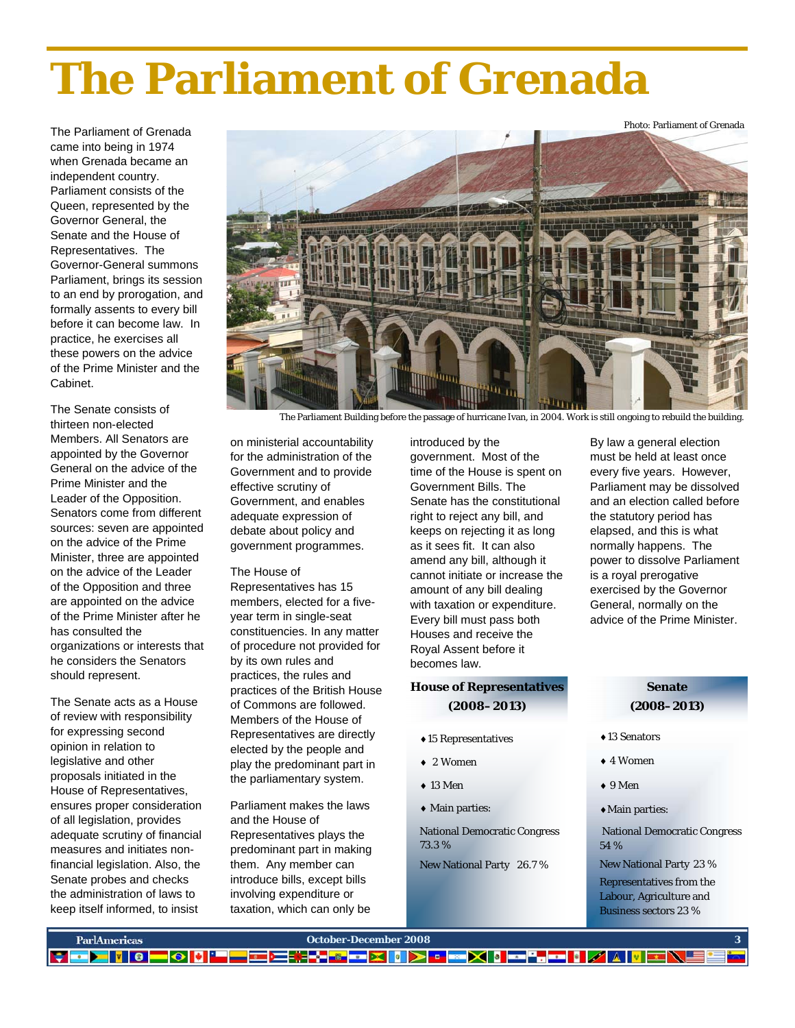# **The Parliament of Grenada**

The Parliament of Grenada came into being in 1974 when Grenada became an independent country. Parliament consists of the Queen, represented by the Governor General, the Senate and the House of Representatives. The Governor-General summons Parliament, brings its session to an end by prorogation, and formally assents to every bill before it can become law. In practice, he exercises all these powers on the advice of the Prime Minister and the Cabinet.

The Senate consists of thirteen non-elected Members. All Senators are appointed by the Governor General on the advice of the Prime Minister and the Leader of the Opposition. Senators come from different sources: seven are appointed on the advice of the Prime Minister, three are appointed on the advice of the Leader of the Opposition and three are appointed on the advice of the Prime Minister after he has consulted the organizations or interests that he considers the Senators should represent.

The Senate acts as a House of review with responsibility for expressing second opinion in relation to legislative and other proposals initiated in the House of Representatives, ensures proper consideration of all legislation, provides adequate scrutiny of financial measures and initiates nonfinancial legislation. Also, the Senate probes and checks the administration of laws to keep itself informed, to insist



The Parliament Building before the passage of hurricane Ivan, in 2004. Work is still ongoing to rebuild the building.

on ministerial accountability for the administration of the Government and to provide effective scrutiny of Government, and enables adequate expression of debate about policy and government programmes.

### The House of

Representatives has 15 members, elected for a fiveyear term in single-seat constituencies. In any matter of procedure not provided for by its own rules and practices, the rules and practices of the British House of Commons are followed. Members of the House of Representatives are directly elected by the people and play the predominant part in the parliamentary system.

Parliament makes the laws and the House of Representatives plays the predominant part in making them. Any member can introduce bills, except bills involving expenditure or taxation, which can only be

introduced by the government. Most of the time of the House is spent on Government Bills. The Senate has the constitutional right to reject any bill, and keeps on rejecting it as long as it sees fit. It can also amend any bill, although it cannot initiate or increase the amount of any bill dealing with taxation or expenditure. Every bill must pass both Houses and receive the Royal Assent before it becomes law.

## **House of Representatives (2008–2013)**

- ♦15 Representatives
- ♦ 2 Women
- $\triangle$  13 Men
- ♦ Main parties:

National Democratic Congress 73.3 %

New National Party 26.7 %

By law a general election must be held at least once every five years. However, Parliament may be dissolved and an election called before the statutory period has elapsed, and this is what normally happens. The power to dissolve Parliament is a royal prerogative exercised by the Governor General, normally on the advice of the Prime Minister.

## **Senate (2008–2013)**

- ♦13 Senators
- ♦ 4 Women
- ♦ 9 Men
- ♦Main parties:

 National Democratic Congress 54 %

New National Party 23 %

Representatives from the Labour, Agriculture and Business sectors 23 %

| ParlAmericas | October-December 2008                            |  |
|--------------|--------------------------------------------------|--|
|              | ▐▘▅▛▋▋▏▌▀▏▓▎▓▀▀▀▓▞▞▓▛▆▛▏▌▛▗▗▀▓▎▌▀▚▀▋▗▎▓▏▓▏▀░█▝▊▙ |  |